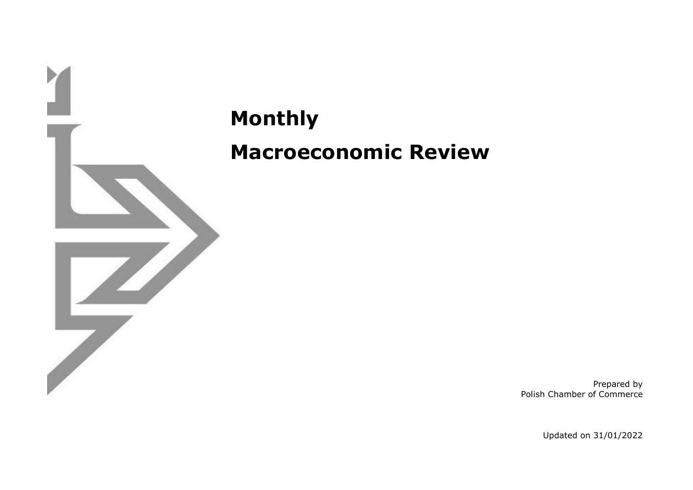

**Monthly Macroeconomic Review**

> Prepared by Polish Chamber of Commerce

> > Updated on 31/01/2022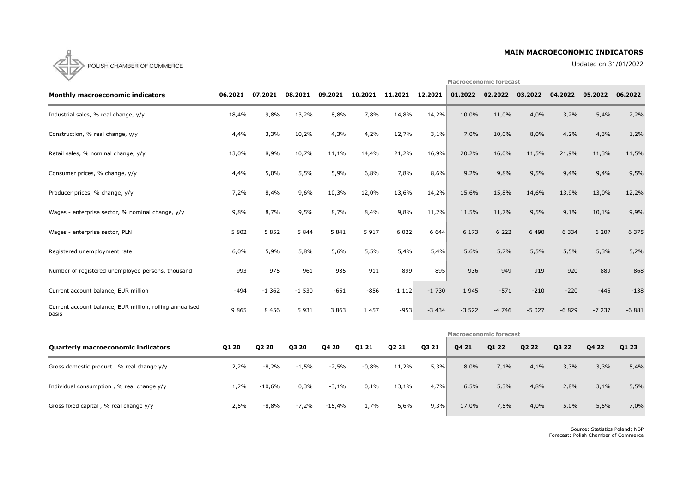## **MAIN MACROECONOMIC INDICATORS**

Updated on 31/01/2022

**Macroeconomic forecast**



| <b>Monthly macroeconomic indicators</b>                           | 06.2021 | 07.2021      | 08.2021       | 09.2021 | 10.2021 | 11.2021 | 12.2021 | 01.2022                       | 02.2022 | 03.2022 | 04.2022      | 05.2022 | 06.2022 |
|-------------------------------------------------------------------|---------|--------------|---------------|---------|---------|---------|---------|-------------------------------|---------|---------|--------------|---------|---------|
| Industrial sales, % real change, y/y                              | 18,4%   | 9,8%         | 13,2%         | 8,8%    | 7,8%    | 14,8%   | 14,2%   | 10,0%                         | 11,0%   | 4,0%    | 3,2%         | 5,4%    | 2,2%    |
| Construction, % real change, y/y                                  | 4,4%    | 3,3%         | 10,2%         | 4,3%    | 4,2%    | 12,7%   | 3,1%    | 7,0%                          | 10,0%   | 8,0%    | 4,2%         | 4,3%    | 1,2%    |
| Retail sales, % nominal change, y/y                               | 13,0%   | 8,9%         | 10,7%         | 11,1%   | 14,4%   | 21,2%   | 16,9%   | 20,2%                         | 16,0%   | 11,5%   | 21,9%        | 11,3%   | 11,5%   |
| Consumer prices, % change, y/y                                    | 4,4%    | 5,0%         | 5,5%          | 5,9%    | 6,8%    | 7,8%    | 8,6%    | 9,2%                          | 9,8%    | 9,5%    | 9,4%         | 9,4%    | 9,5%    |
| Producer prices, % change, y/y                                    | 7,2%    | 8,4%         | 9,6%          | 10,3%   | 12,0%   | 13,6%   | 14,2%   | 15,6%                         | 15,8%   | 14,6%   | 13,9%        | 13,0%   | 12,2%   |
| Wages - enterprise sector, % nominal change, y/y                  | 9,8%    | 8,7%         | 9,5%          | 8,7%    | 8,4%    | 9,8%    | 11,2%   | 11,5%                         | 11,7%   | 9,5%    | 9,1%         | 10,1%   | 9,9%    |
| Wages - enterprise sector, PLN                                    | 5 8 0 2 | 5 8 5 2      | 5 8 4 4       | 5 8 4 1 | 5 9 1 7 | 6 0 2 2 | 6 6 4 4 | 6 1 7 3                       | 6 2 2 2 | 6 4 9 0 | 6 3 3 4      | 6 207   | 6 3 7 5 |
| Registered unemployment rate                                      | 6,0%    | 5,9%         | 5,8%          | 5,6%    | 5,5%    | 5,4%    | 5,4%    | 5,6%                          | 5,7%    | 5,5%    | 5,5%         | 5,3%    | 5,2%    |
| Number of registered unemployed persons, thousand                 | 993     | 975          | 961           | 935     | 911     | 899     | 895     | 936                           | 949     | 919     | 920          | 889     | 868     |
| Current account balance, EUR million                              | $-494$  | $-1362$      | $-1530$       | $-651$  | $-856$  | $-1112$ | $-1730$ | 1 9 4 5                       | $-571$  | $-210$  | $-220$       | $-445$  | $-138$  |
| Current account balance, EUR million, rolling annualised<br>basis | 9 8 6 5 | 8 4 5 6      | 5 9 3 1       | 3 8 6 3 | 1 4 5 7 | $-953$  | $-3434$ | $-3522$                       | $-4746$ | $-5027$ | $-6829$      | $-7237$ | $-6881$ |
|                                                                   |         |              |               |         |         |         |         | <b>Macroeconomic forecast</b> |         |         |              |         |         |
| Quarterly macroeconomic indicators                                | O1 20   | <b>02.20</b> | <u> คร วค</u> | 04 20   | ุก1 ว1  | O2 21   | O3 21   | O4 21                         | 01 22   | 02.22   | <b>03.22</b> | O4 22   | 01 23   |

| <b>Quarterly macroeconomic indicators</b>   | Q1 20 | Q2 20    | Q3 20   | Q4 20    | Q1 21   | Q2 21 | Q3 21 | Q4 21 | Q1 22 | Q2 22 | Q3 22 | Q4 22 | Q1 23 |
|---------------------------------------------|-------|----------|---------|----------|---------|-------|-------|-------|-------|-------|-------|-------|-------|
| Gross domestic product, % real change $y/y$ | 2,2%  | $-8,2%$  | -1,5%   | $-2,5%$  | $-0,8%$ | 11,2% | 5,3%  | 8,0%  | 7,1%  | 4,1%  | 3,3%  | 3,3%  | 5,4%  |
| Individual consumption, % real change $y/y$ | 1,2%  | $-10,6%$ | 0,3%    | $-3,1%$  | 0,1%    | 13,1% | 4,7%  | 6,5%  | 5,3%  | 4,8%  | 2,8%  | 3,1%  | 5,5%  |
| Gross fixed capital, % real change y/y      | 2,5%  | $-8,8%$  | $-7,2%$ | $-15,4%$ | 1,7%    | 5,6%  | 9,3%  | 17,0% | 7,5%  | 4,0%  | 5,0%  | 5,5%  | 7,0%  |

Source: Statistics Poland; NBP Forecast: Polish Chamber of Commerce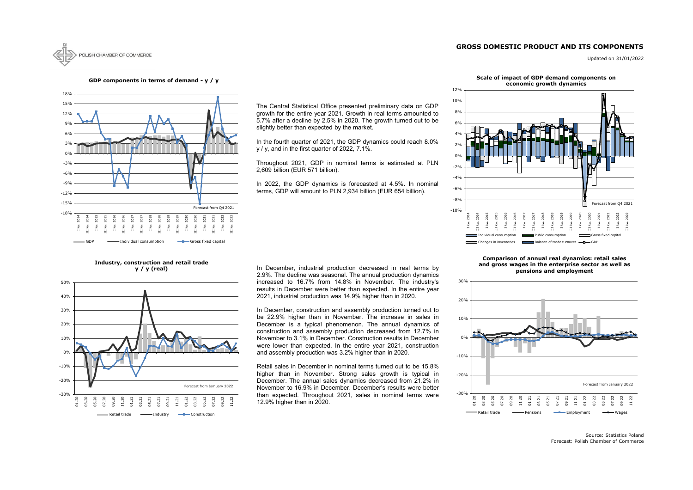# **GROSS DOMESTIC PRODUCT AND ITS COMPONENTS**



Updated on 31/01/2022

Source: Statistics Poland Forecast: Polish Chamber of Commerce



#### **GDP components in terms of demand - y / y**



# **Industry, construction and retail trade**

**y / y (real)**



#### **Scale of impact of GDP demand components on economic growth dynamics**

In December, industrial production decreased in real terms by 2.9%. The decline was seasonal. The annual production dynamics increased to 16.7% from 14.8% in November. The industry's results in December were better than expected. In the entire year 2021, industrial production was 14.9% higher than in 2020.

In December, construction and assembly production turned out to be 22.9% higher than in November. The increase in sales in December is a typical phenomenon. The annual dynamics of construction and assembly production decreased from 12.7% in November to 3.1% in December. Construction results in December were lower than expected. In the entire year 2021, construction and assembly production was 3.2% higher than in 2020.



#### **Comparison of annual real dynamics: retail sales and gross wages in the enterprise sector as well as pensions and employment**

The Central Statistical Office presented preliminary data on GDP growth for the entire year 2021. Growth in real terms amounted to 5.7% after a decline by 2.5% in 2020. The growth turned out to be slightly better than expected by the market.

In the fourth quarter of 2021, the GDP dynamics could reach 8.0% y / y, and in the first quarter of 2022, 7.1%.

Throughout 2021, GDP in nominal terms is estimated at PLN 2,609 billion (EUR 571 billion).

In 2022, the GDP dynamics is forecasted at 4.5%. In nominal terms, GDP will amount to PLN 2,934 billion (EUR 654 billion).

Retail sales in December in nominal terms turned out to be 15.8% higher than in November. Strong sales growth is typical in December. The annual sales dynamics decreased from 21.2% in November to 16.9% in December. December's results were better than expected. Throughout 2021, sales in nominal terms were 12.9% higher than in 2020.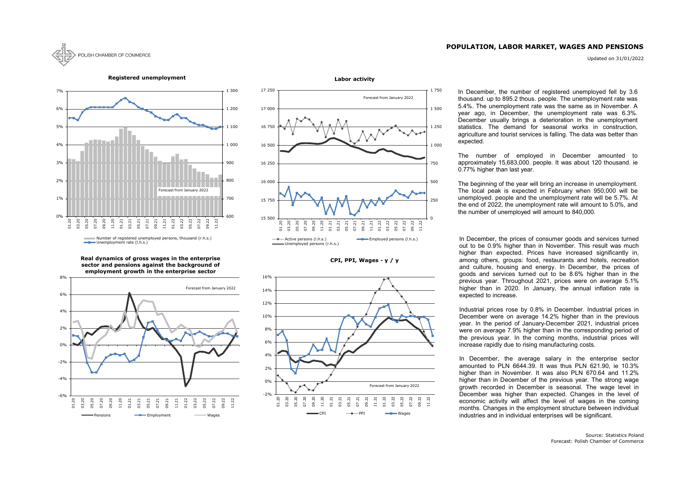# **POPULATION, LABOR MARKET, WAGES AND PENSIONS**

Updated on 31/01/2022









#### **Registered unemployment**



**Real dynamics of gross wages in the enterprise sector and pensions against the background of employment growth in the enterprise sector**



In December, the number of registered unemployed fell by 3.6 thousand. up to 895.2 thous. people. The unemployment rate was 5.4%. The unemployment rate was the same as in November. A year ago, in December, the unemployment rate was 6.3%. December usually brings a deterioration in the unemployment statistics. The demand for seasonal works in construction, agriculture and tourist services is falling. The data was better than expected.

In December, the prices of consumer goods and services turned out to be 0.9% higher than in November. This result was much higher than expected. Prices have increased significantly in, among others, groups: food, restaurants and hotels, recreation and culture, housing and energy. In December, the prices of goods and services turned out to be 8.6% higher than in the previous year. Throughout 2021, prices were on average 5.1% higher than in 2020. In January, the annual inflation rate is expected to increase.

Industrial prices rose by 0.8% in December. Industrial prices in December were on average 14.2% higher than in the previous year. In the period of January-December 2021, industrial prices were on average 7.9% higher than in the corresponding period of the previous year. In the coming months, industrial prices will increase rapidly due to rising manufacturing costs.

In December, the average salary in the enterprise sector amounted to PLN 6644.39. It was thus PLN 621.90, ie 10.3% higher than in November. It was also PLN 670.64 and 11.2% higher than in December of the previous year. The strong wage growth recorded in December is seasonal. The wage level in December was higher than expected. Changes in the level of economic activity will affect the level of wages in the coming months. Changes in the employment structure between individual industries and in individual enterprises will be significant.

The number of employed in December amounted to approximately 15,683,000. people. It was about 120 thousand. ie 0.77% higher than last year.

The beginning of the year will bring an increase in unemployment. The local peak is expected in February when 950,000 will be unemployed. people and the unemployment rate will be 5.7%. At the end of 2022, the unemployment rate will amount to 5.0%, and the number of unemployed will amount to 840,000.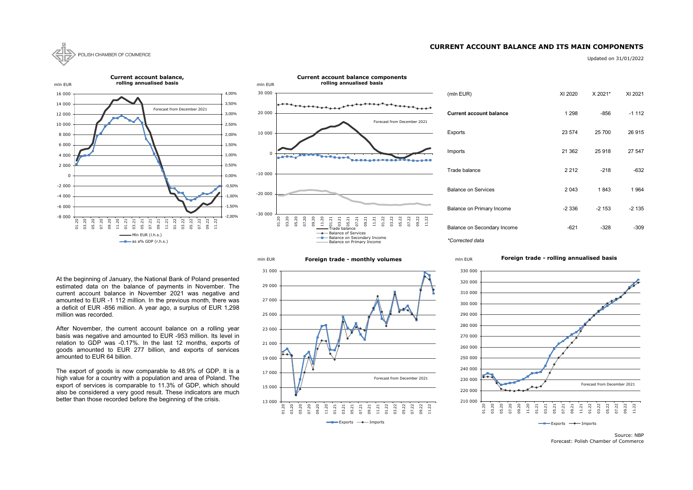## **CURRENT ACCOUNT BALANCE AND ITS MAIN COMPONENTS**



Updated on 31/01/2022

| (mln EUR)                      | XI 2020 | X 2021* | XI 2021 |
|--------------------------------|---------|---------|---------|
| <b>Current account balance</b> | 1 2 9 8 | -856    | $-1112$ |
| Exports                        | 23 574  | 25 700  | 26 915  |
| Imports                        | 21 3 62 | 25 918  | 27 547  |
| Trade balance                  | 2 2 1 2 | $-218$  | $-632$  |
| <b>Balance on Services</b>     | 2043    | 1843    | 1964    |
| Balance on Primary Income      | $-2336$ | $-2153$ | $-2135$ |
| Balance on Secondary Income    | $-621$  | -328    | $-309$  |

Source: NBP Forecast: Polish Chamber of Commerce

13 000 15 000 17 000 19 000 21 000 23 000 25 000 27 000 29 000 31 000 01.20 03.20 05.20 07.20 09.20 11.20 01.21 03.21 05.21 07.21 09.21  $1.21$ 01.22 03.22 05.22 07.22 09.22 11.22  $\longrightarrow$  Exports  $\longrightarrow$  Imports Forecast from December 2021



**Foreign trade - monthly volumes** mln EUR



#### **Foreign trade - rolling annualised basis**



At the beginning of January, the National Bank of Poland presented estimated data on the balance of payments in November. The current account balance in November 2021 was negative and amounted to EUR -1 112 million. In the previous month, there was a deficit of EUR -856 million. A year ago, a surplus of EUR 1,298 million was recorded.

After November, the current account balance on a rolling year basis was negative and amounted to EUR -953 million. Its level in relation to GDP was -0.17%. In the last 12 months, exports of goods amounted to EUR 277 billion, and exports of services amounted to EUR 64 billion.

The export of goods is now comparable to 48.9% of GDP. It is a high value for a country with a population and area of Poland. The export of services is comparable to 11.3% of GDP, which should also be considered a very good result. These indicators are much better than those recorded before the beginning of the crisis.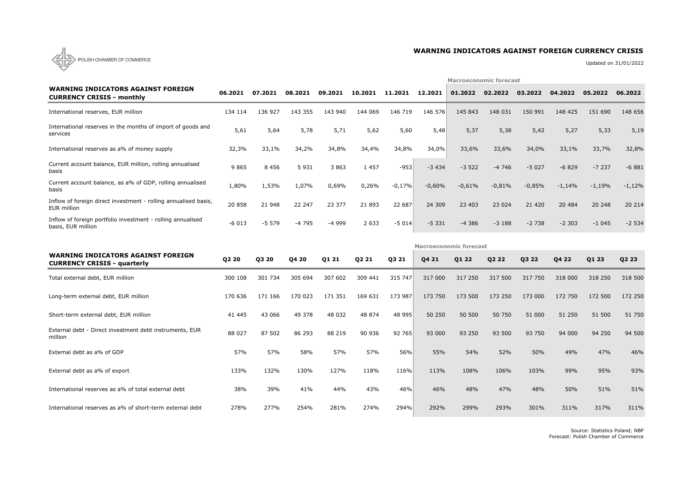

# **WARNING INDICATORS AGAINST FOREIGN CURRENCY CRISIS**

Updated on 31/01/2022

|                                                                                   |         |         |         |         |         |          |          | <b>Macroeconomic forecast</b> |          |          |          |          |          |  |  |  |
|-----------------------------------------------------------------------------------|---------|---------|---------|---------|---------|----------|----------|-------------------------------|----------|----------|----------|----------|----------|--|--|--|
| <b>WARNING INDICATORS AGAINST FOREIGN</b><br><b>CURRENCY CRISIS - monthly</b>     | 06.2021 | 07.2021 | 08.2021 | 09.2021 | 10.2021 | 11.2021  | 12.2021  | 01.2022                       | 02.2022  | 03.2022  | 04.2022  | 05.2022  | 06.2022  |  |  |  |
| International reserves, EUR million                                               | 134 114 | 136 927 | 143 355 | 143 940 | 144 069 | 146 719  | 146 576  | 145 843                       | 148 031  | 150 991  | 148 425  | 151 690  | 148 656  |  |  |  |
| International reserves in the months of import of goods and<br>services           | 5,61    | 5,64    | 5,78    | 5,71    | 5,62    | 5,60     | 5,48     | 5,37                          | 5,38     | 5,42     | 5,27     | 5,33     | 5,19     |  |  |  |
| International reserves as a% of money supply                                      | 32,3%   | 33,1%   | 34,2%   | 34,8%   | 34,4%   | 34,8%    | 34,0%    | 33,6%                         | 33,6%    | 34,0%    | 33,1%    | 33,7%    | 32,8%    |  |  |  |
| Current account balance, EUR million, rolling annualised<br>basis                 | 9 8 6 5 | 8 4 5 6 | 5 9 3 1 | 3 8 6 3 | 1 4 5 7 | $-953$   | $-3434$  | $-3522$                       | $-4746$  | $-5027$  | $-6829$  | $-7237$  | $-6881$  |  |  |  |
| Current account balance, as a% of GDP, rolling annualised<br>basis                | 1,80%   | 1,53%   | 1,07%   | 0,69%   | 0,26%   | $-0,17%$ | $-0,60%$ | $-0,61%$                      | $-0,81%$ | $-0,85%$ | $-1,14%$ | $-1,19%$ | $-1,12%$ |  |  |  |
| Inflow of foreign direct investment - rolling annualised basis,<br>EUR million    | 20 858  | 21 948  | 22 247  | 23 377  | 21 893  | 22 687   | 24 309   | 23 403                        | 23 0 24  | 21 4 20  | 20 484   | 20 248   | 20 214   |  |  |  |
| Inflow of foreign portfolio investment - rolling annualised<br>basis, EUR million | $-6013$ | $-5579$ | $-4795$ | -4 999  | 2 6 3 3 | $-5014$  | $-5331$  | $-4386$                       | $-3188$  | $-2738$  | $-2303$  | $-1045$  | $-2534$  |  |  |  |
|                                                                                   |         |         |         |         |         |          |          | <b>Macroeconomic forecast</b> |          |          |          |          |          |  |  |  |
| <b>WARNING INDICATORS AGAINST FOREIGN</b><br><b>CURRENCY CRISIS - quarterly</b>   | Q2 20   | Q3 20   | Q4 20   | Q1 21   | Q2 21   | Q3 21    | Q4 21    | Q1 22                         | Q2 22    | Q3 22    | Q4 22    | Q1 23    | Q2 23    |  |  |  |
| Total external debt, EUR million                                                  | 300 108 | 301 734 | 305 694 | 307 602 | 309 441 | 315 747  | 317 000  | 317 250                       | 317 500  | 317 750  | 318 000  | 318 250  | 318 500  |  |  |  |
| Long-term external debt, EUR million                                              | 170 636 | 171 166 | 170 023 | 171 351 | 169 631 | 173 987  | 173 750  | 173 500                       | 173 250  | 173 000  | 172 750  | 172 500  | 172 250  |  |  |  |
| Short-term external debt, EUR million                                             | 41 445  | 43 066  | 49 378  | 48 032  | 48 874  | 48 995   | 50 250   | 50 500                        | 50 750   | 51 000   | 51 250   | 51 500   | 51 750   |  |  |  |
| External debt - Direct investment debt instruments, EUR<br>million                | 88 027  | 87 502  | 86 293  | 88 219  | 90 936  | 92 765   | 93 000   | 93 250                        | 93 500   | 93 750   | 94 000   | 94 250   | 94 500   |  |  |  |
| External debt as a% of GDP                                                        | 57%     | 57%     | 58%     | 57%     | 57%     | 56%      | 55%      | 54%                           | 52%      | 50%      | 49%      | 47%      | 46%      |  |  |  |
| External debt as a% of export                                                     | 133%    | 132%    | 130%    | 127%    | 118%    | 116%     | 113%     | 108%                          | 106%     | 103%     | 99%      | 95%      | 93%      |  |  |  |
| International reserves as a% of total external debt                               | 38%     | 39%     | 41%     | 44%     | 43%     | 46%      | 46%      | 48%                           | 47%      | 48%      | 50%      | 51%      | 51%      |  |  |  |
|                                                                                   |         |         |         |         |         |          |          |                               |          |          |          |          |          |  |  |  |

Source: Statistics Poland; NBP Forecast: Polish Chamber of Commerce